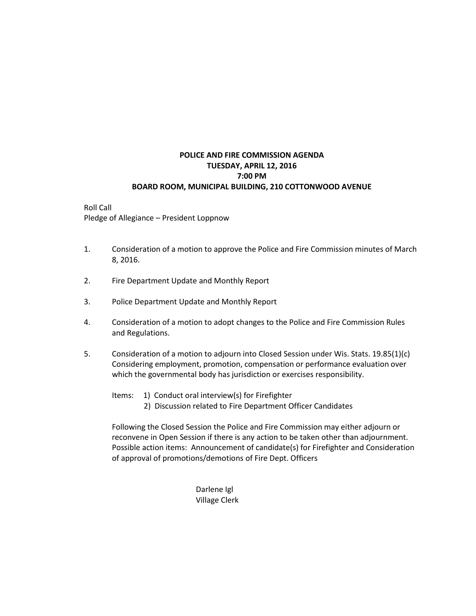### **POLICE AND FIRE COMMISSION AGENDA TUESDAY, APRIL 12, 2016 7:00 PM BOARD ROOM, MUNICIPAL BUILDING, 210 COTTONWOOD AVENUE**

#### Roll Call Pledge of Allegiance – President Loppnow

- 1. Consideration of a motion to approve the Police and Fire Commission minutes of March 8, 2016.
- 2. Fire Department Update and Monthly Report
- 3. Police Department Update and Monthly Report
- 4. Consideration of a motion to adopt changes to the Police and Fire Commission Rules and Regulations.
- 5. Consideration of a motion to adjourn into Closed Session under Wis. Stats. 19.85(1)(c) Considering employment, promotion, compensation or performance evaluation over which the governmental body has jurisdiction or exercises responsibility.
	- Items: 1) Conduct oral interview(s) for Firefighter
		- 2) Discussion related to Fire Department Officer Candidates

Following the Closed Session the Police and Fire Commission may either adjourn or reconvene in Open Session if there is any action to be taken other than adjournment. Possible action items: Announcement of candidate(s) for Firefighter and Consideration of approval of promotions/demotions of Fire Dept. Officers

> Darlene Igl Village Clerk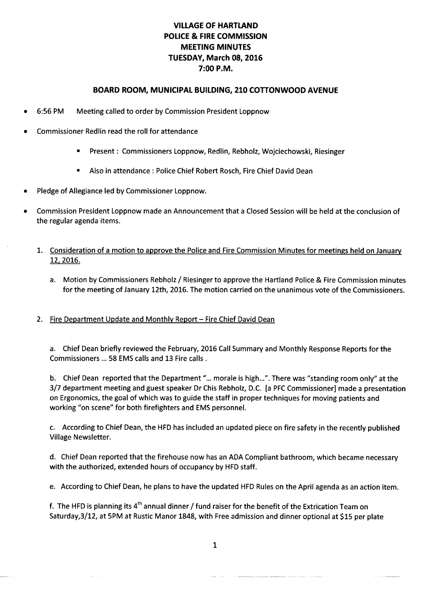# **VILLAGE OF HARTLAND** POLICE & FIRE COMMISSION **MEETING MINUTES** TUESDAY, March 08, 2016 7:00 P.M.

#### BOARD ROOM, MUNICIPAL BUILDING, 210 COTTONWOOD AVENUE

- 6:56 PM Meeting called to order by Commission President Loppnow
- Commissioner Redlin read the roll for attendance
	- Present : Commissioners Loppnow, Redlin, Rebholz, Wojciechowski, Riesinger  $\blacksquare$
	- Also in attendance: Police Chief Robert Rosch, Fire Chief David Dean
- Pledge of Allegiance led by Commissioner Loppnow.

in a sa

Commission President Loppnow made an Announcement that a Closed Session will be held at the conclusion of the regular agenda items.

#### 1. Consideration of a motion to approve the Police and Fire Commission Minutes for meetings held on January 12, 2016.

a. Motion by Commissioners Rebholz / Riesinger to approve the Hartland Police & Fire Commission minutes for the meeting of January 12th, 2016. The motion carried on the unanimous vote of the Commissioners.

#### 2. Fire Department Update and Monthly Report - Fire Chief David Dean

a. Chief Dean briefly reviewed the February, 2016 Call Summary and Monthly Response Reports for the Commissioners ... 58 EMS calls and 13 Fire calls.

b. Chief Dean reported that the Department "... morale is high...". There was "standing room only" at the 3/7 department meeting and guest speaker Dr Chis Rebholz, D.C. [a PFC Commissioner] made a presentation on Ergonomics, the goal of which was to guide the staff in proper techniques for moving patients and working "on scene" for both firefighters and EMS personnel.

c. According to Chief Dean, the HFD has included an updated piece on fire safety in the recently published **Village Newsletter.** 

d. Chief Dean reported that the firehouse now has an ADA Compliant bathroom, which became necessary with the authorized, extended hours of occupancy by HFD staff.

e. According to Chief Dean, he plans to have the updated HFD Rules on the April agenda as an action item.

f. The HFD is planning its  $4^{th}$  annual dinner / fund raiser for the benefit of the Extrication Team on Saturday, 3/12, at 5PM at Rustic Manor 1848, with Free admission and dinner optional at \$15 per plate

 $\mathbf{1}$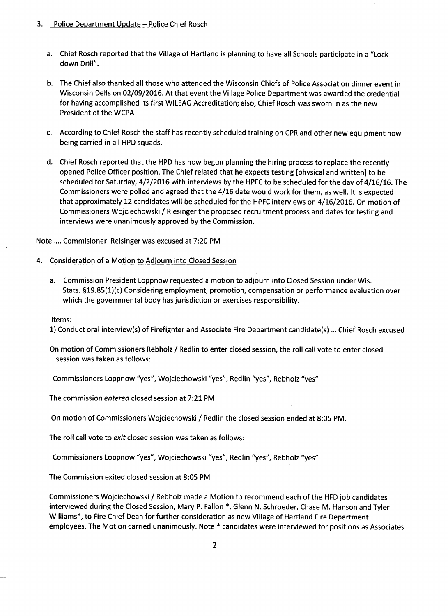#### 3. Police Department Update - Police Chief Rosch

- a. Chief Rosch reported that the Village of Hartland is planning to have all Schools participate in a "Lockdown Drill".
- b. The Chief also thanked all those who attended the Wisconsin Chiefs of Police Association dinner event in Wisconsin Dells on 02/09/2016. At that event the Village Police Department was awarded the credential for having accomplished its first WILEAG Accreditation; also, Chief Rosch was sworn in as the new President of the WCPA
- c. According to Chief Rosch the staff has recently scheduled training on CPR and other new equipment now being carried in all HPD squads.
- d. Chief Rosch reported that the HPD has now begun planning the hiring process to replace the recently opened Police Officer position. The Chief related that he expects testing [physical and written] to be scheduled for Saturday, 4/2/2016 with interviews by the HPFC to be scheduled for the day of 4/16/16. The Commissioners were polled and agreed that the 4/16 date would work for them, as well. It is expected that approximately 12 candidates will be scheduled for the HPFC interviews on 4/16/2016. On motion of Commissioners Wojciechowski / Riesinger the proposed recruitment process and dates for testing and interviews were unanimously approved by the Commission.

Note .... Commisioner Reisinger was excused at 7:20 PM

#### 4. Consideration of a Motion to Adjourn into Closed Session

a. Commission President Loppnow requested a motion to adjourn into Closed Session under Wis. Stats. §19.85(1)(c) Considering employment, promotion, compensation or performance evaluation over which the governmental body has jurisdiction or exercises responsibility.

Items:

1) Conduct oral interview(s) of Firefighter and Associate Fire Department candidate(s) ... Chief Rosch excused

On motion of Commissioners Rebholz / Redlin to enter closed session, the roll call vote to enter closed session was taken as follows:

Commissioners Loppnow "yes", Wojciechowski "yes", Redlin "yes", Rebholz "yes"

The commission entered closed session at 7:21 PM

On motion of Commissioners Wojciechowski / Redlin the closed session ended at 8:05 PM.

The roll call vote to exit closed session was taken as follows:

Commissioners Loppnow "yes", Wojciechowski "yes", Redlin "yes", Rebholz "yes"

The Commission exited closed session at 8:05 PM

Commissioners Wojciechowski / Rebholz made a Motion to recommend each of the HFD job candidates interviewed during the Closed Session, Mary P. Fallon \*, Glenn N. Schroeder, Chase M. Hanson and Tyler Williams\*, to Fire Chief Dean for further consideration as new Village of Hartland Fire Department employees. The Motion carried unanimously. Note \* candidates were interviewed for positions as Associates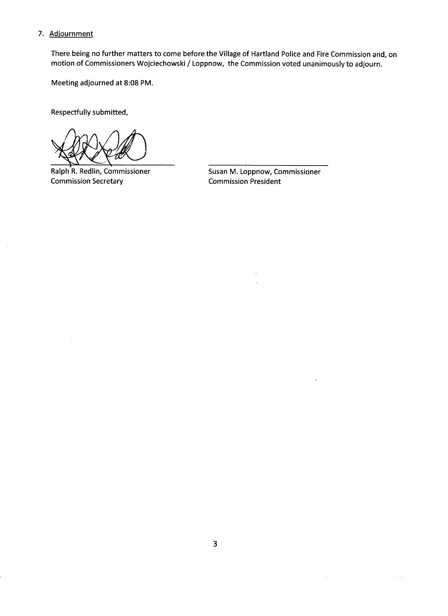#### 7. Adjournment

There being no further matters to come before the Village of Hartland Police and Fire Commission and, on motion of Commissioners Wojciechowski / Loppnow, the Commission voted unanimously to adjourn.

Meeting adjourned at 8:08 PM.

Respectfully submitted,

Ralph R. Redlin, Commissioner **Commission Secretary** 

Susan M. Loppnow, Commissioner **Commission President**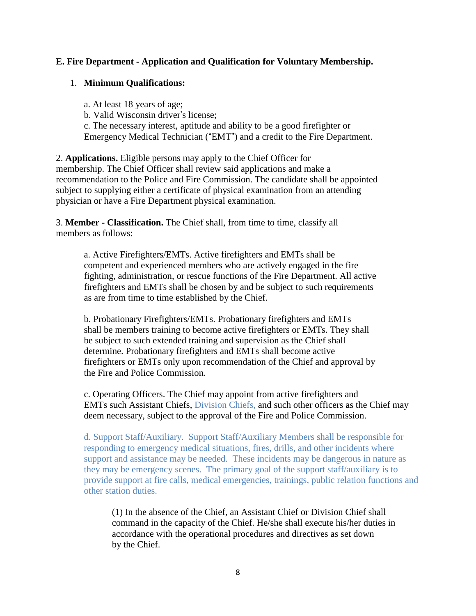## **E. Fire Department - Application and Qualification for Voluntary Membership.**

## 1. **Minimum Qualifications:**

a. At least 18 years of age; b. Valid Wisconsin driver's license; c. The necessary interest, aptitude and ability to be a good firefighter or Emergency Medical Technician ("EMT") and a credit to the Fire Department.

2. **Applications.** Eligible persons may apply to the Chief Officer for membership. The Chief Officer shall review said applications and make a recommendation to the Police and Fire Commission. The candidate shall be appointed subject to supplying either a certificate of physical examination from an attending physician or have a Fire Department physical examination.

3. **Member - Classification.** The Chief shall, from time to time, classify all members as follows:

a. Active Firefighters/EMTs. Active firefighters and EMTs shall be competent and experienced members who are actively engaged in the fire fighting, administration, or rescue functions of the Fire Department. All active firefighters and EMTs shall be chosen by and be subject to such requirements as are from time to time established by the Chief.

b. Probationary Firefighters/EMTs. Probationary firefighters and EMTs shall be members training to become active firefighters or EMTs. They shall be subject to such extended training and supervision as the Chief shall determine. Probationary firefighters and EMTs shall become active firefighters or EMTs only upon recommendation of the Chief and approval by the Fire and Police Commission.

c. Operating Officers. The Chief may appoint from active firefighters and EMTs such Assistant Chiefs, Division Chiefs, and such other officers as the Chief may deem necessary, subject to the approval of the Fire and Police Commission.

d. Support Staff/Auxiliary. Support Staff/Auxiliary Members shall be responsible for responding to emergency medical situations, fires, drills, and other incidents where support and assistance may be needed. These incidents may be dangerous in nature as they may be emergency scenes. The primary goal of the support staff/auxiliary is to provide support at fire calls, medical emergencies, trainings, public relation functions and other station duties.

(1) In the absence of the Chief, an Assistant Chief or Division Chief shall command in the capacity of the Chief. He/she shall execute his/her duties in accordance with the operational procedures and directives as set down by the Chief.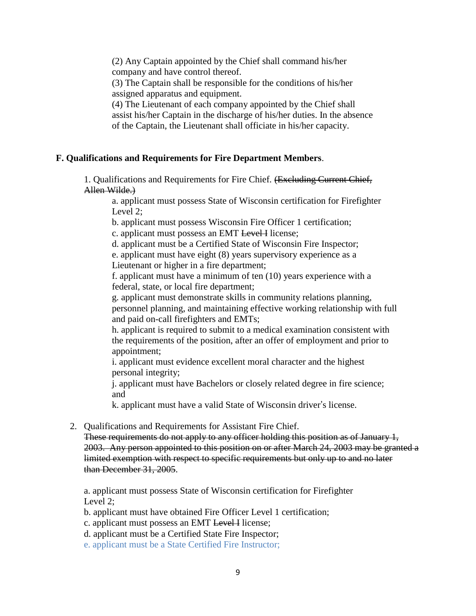(2) Any Captain appointed by the Chief shall command his/her company and have control thereof.

(3) The Captain shall be responsible for the conditions of his/her assigned apparatus and equipment.

(4) The Lieutenant of each company appointed by the Chief shall assist his/her Captain in the discharge of his/her duties. In the absence of the Captain, the Lieutenant shall officiate in his/her capacity.

## **F. Qualifications and Requirements for Fire Department Members**.

1. Qualifications and Requirements for Fire Chief. (Excluding Current Chief, Allen Wilde.)

a. applicant must possess State of Wisconsin certification for Firefighter Level 2;

b. applicant must possess Wisconsin Fire Officer 1 certification;

c. applicant must possess an EMT Level I license;

d. applicant must be a Certified State of Wisconsin Fire Inspector;

e. applicant must have eight (8) years supervisory experience as a Lieutenant or higher in a fire department;

f. applicant must have a minimum of ten (10) years experience with a federal, state, or local fire department;

g. applicant must demonstrate skills in community relations planning, personnel planning, and maintaining effective working relationship with full and paid on-call firefighters and EMTs;

h. applicant is required to submit to a medical examination consistent with the requirements of the position, after an offer of employment and prior to appointment;

i. applicant must evidence excellent moral character and the highest personal integrity;

j. applicant must have Bachelors or closely related degree in fire science; and

k. applicant must have a valid State of Wisconsin driver's license.

2. Qualifications and Requirements for Assistant Fire Chief.

These requirements do not apply to any officer holding this position as of January 1, 2003. Any person appointed to this position on or after March 24, 2003 may be granted a limited exemption with respect to specific requirements but only up to and no later than December 31, 2005.

a. applicant must possess State of Wisconsin certification for Firefighter Level 2;

b. applicant must have obtained Fire Officer Level 1 certification;

c. applicant must possess an EMT Level I license;

d. applicant must be a Certified State Fire Inspector;

e. applicant must be a State Certified Fire Instructor;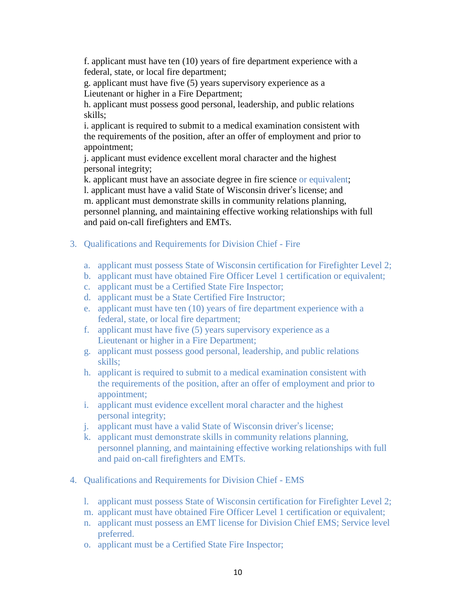f. applicant must have ten (10) years of fire department experience with a federal, state, or local fire department;

g. applicant must have five (5) years supervisory experience as a Lieutenant or higher in a Fire Department;

h. applicant must possess good personal, leadership, and public relations skills;

i. applicant is required to submit to a medical examination consistent with the requirements of the position, after an offer of employment and prior to appointment;

j. applicant must evidence excellent moral character and the highest personal integrity;

k. applicant must have an associate degree in fire science or equivalent; l. applicant must have a valid State of Wisconsin driver's license; and m. applicant must demonstrate skills in community relations planning, personnel planning, and maintaining effective working relationships with full and paid on-call firefighters and EMTs.

- 3. Qualifications and Requirements for Division Chief Fire
	- a. applicant must possess State of Wisconsin certification for Firefighter Level 2;
	- b. applicant must have obtained Fire Officer Level 1 certification or equivalent;
	- c. applicant must be a Certified State Fire Inspector;
	- d. applicant must be a State Certified Fire Instructor;
	- e. applicant must have ten (10) years of fire department experience with a federal, state, or local fire department;
	- f. applicant must have five (5) years supervisory experience as a Lieutenant or higher in a Fire Department;
	- g. applicant must possess good personal, leadership, and public relations skills;
	- h. applicant is required to submit to a medical examination consistent with the requirements of the position, after an offer of employment and prior to appointment;
	- i. applicant must evidence excellent moral character and the highest personal integrity;
	- j. applicant must have a valid State of Wisconsin driver's license;
	- k. applicant must demonstrate skills in community relations planning, personnel planning, and maintaining effective working relationships with full and paid on-call firefighters and EMTs.
- 4. Qualifications and Requirements for Division Chief EMS
	- l. applicant must possess State of Wisconsin certification for Firefighter Level 2;
	- m. applicant must have obtained Fire Officer Level 1 certification or equivalent;
	- n. applicant must possess an EMT license for Division Chief EMS; Service level preferred.
	- o. applicant must be a Certified State Fire Inspector;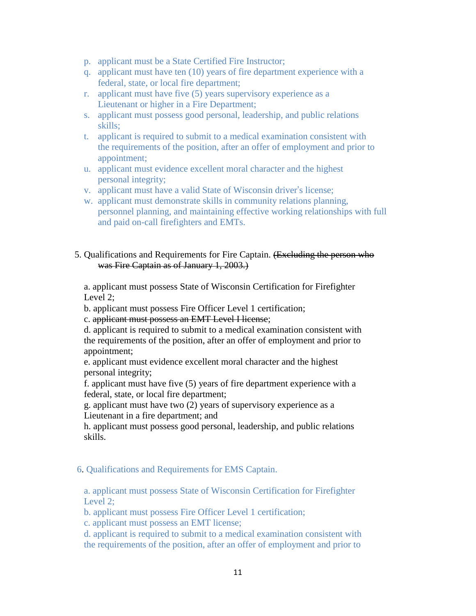- p. applicant must be a State Certified Fire Instructor;
- q. applicant must have ten (10) years of fire department experience with a federal, state, or local fire department;
- r. applicant must have five (5) years supervisory experience as a Lieutenant or higher in a Fire Department;
- s. applicant must possess good personal, leadership, and public relations skills;
- t. applicant is required to submit to a medical examination consistent with the requirements of the position, after an offer of employment and prior to appointment;
- u. applicant must evidence excellent moral character and the highest personal integrity;
- v. applicant must have a valid State of Wisconsin driver's license;
- w. applicant must demonstrate skills in community relations planning, personnel planning, and maintaining effective working relationships with full and paid on-call firefighters and EMTs.

#### 5. Qualifications and Requirements for Fire Captain. (Excluding the person who was Fire Captain as of January 1, 2003.)

a. applicant must possess State of Wisconsin Certification for Firefighter Level 2;

b. applicant must possess Fire Officer Level 1 certification;

c. applicant must possess an EMT Level I license;

d. applicant is required to submit to a medical examination consistent with the requirements of the position, after an offer of employment and prior to appointment;

e. applicant must evidence excellent moral character and the highest personal integrity;

f. applicant must have five (5) years of fire department experience with a federal, state, or local fire department;

g. applicant must have two (2) years of supervisory experience as a Lieutenant in a fire department; and

h. applicant must possess good personal, leadership, and public relations skills.

#### 6. Qualifications and Requirements for EMS Captain.

a. applicant must possess State of Wisconsin Certification for Firefighter Level 2;

b. applicant must possess Fire Officer Level 1 certification;

c. applicant must possess an EMT license;

d. applicant is required to submit to a medical examination consistent with the requirements of the position, after an offer of employment and prior to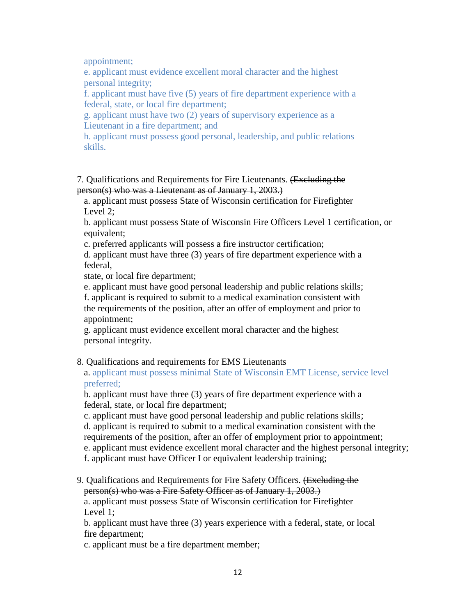appointment;

e. applicant must evidence excellent moral character and the highest personal integrity;

f. applicant must have five (5) years of fire department experience with a federal, state, or local fire department;

g. applicant must have two (2) years of supervisory experience as a Lieutenant in a fire department; and

h. applicant must possess good personal, leadership, and public relations skills.

 7. Qualifications and Requirements for Fire Lieutenants. (Excluding the person(s) who was a Lieutenant as of January 1, 2003.)

a. applicant must possess State of Wisconsin certification for Firefighter Level 2;

b. applicant must possess State of Wisconsin Fire Officers Level 1 certification, or equivalent;

c. preferred applicants will possess a fire instructor certification;

d. applicant must have three (3) years of fire department experience with a federal,

state, or local fire department;

e. applicant must have good personal leadership and public relations skills; f. applicant is required to submit to a medical examination consistent with the requirements of the position, after an offer of employment and prior to appointment;

g. applicant must evidence excellent moral character and the highest personal integrity.

## 8. Qualifications and requirements for EMS Lieutenants

a. applicant must possess minimal State of Wisconsin EMT License, service level preferred;

b. applicant must have three (3) years of fire department experience with a federal, state, or local fire department;

c. applicant must have good personal leadership and public relations skills;

d. applicant is required to submit to a medical examination consistent with the

requirements of the position, after an offer of employment prior to appointment;

e. applicant must evidence excellent moral character and the highest personal integrity;

f. applicant must have Officer I or equivalent leadership training;

 9. Qualifications and Requirements for Fire Safety Officers. (Excluding the person(s) who was a Fire Safety Officer as of January 1, 2003.)

a. applicant must possess State of Wisconsin certification for Firefighter Level 1;

b. applicant must have three (3) years experience with a federal, state, or local fire department;

c. applicant must be a fire department member;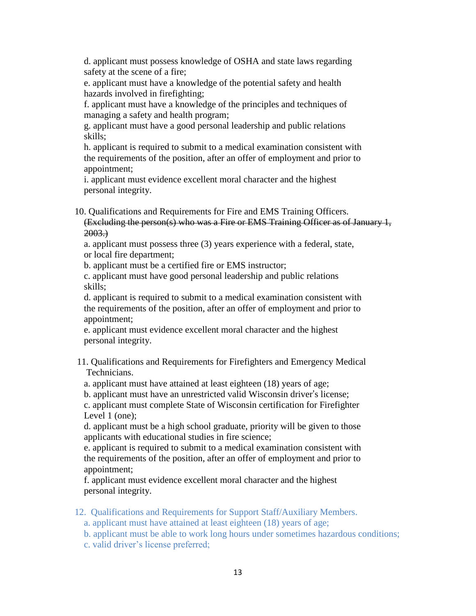d. applicant must possess knowledge of OSHA and state laws regarding safety at the scene of a fire;

e. applicant must have a knowledge of the potential safety and health hazards involved in firefighting;

f. applicant must have a knowledge of the principles and techniques of managing a safety and health program;

g. applicant must have a good personal leadership and public relations skills;

h. applicant is required to submit to a medical examination consistent with the requirements of the position, after an offer of employment and prior to appointment;

i. applicant must evidence excellent moral character and the highest personal integrity.

 10. Qualifications and Requirements for Fire and EMS Training Officers. (Excluding the person(s) who was a Fire or EMS Training Officer as of January 1,

 $2003.$ 

a. applicant must possess three (3) years experience with a federal, state, or local fire department;

b. applicant must be a certified fire or EMS instructor;

c. applicant must have good personal leadership and public relations skills;

d. applicant is required to submit to a medical examination consistent with the requirements of the position, after an offer of employment and prior to appointment;

e. applicant must evidence excellent moral character and the highest personal integrity.

- 11. Qualifications and Requirements for Firefighters and Emergency Medical Technicians.
	- a. applicant must have attained at least eighteen (18) years of age;

b. applicant must have an unrestricted valid Wisconsin driver's license;

c. applicant must complete State of Wisconsin certification for Firefighter Level 1 (one);

d. applicant must be a high school graduate, priority will be given to those applicants with educational studies in fire science;

e. applicant is required to submit to a medical examination consistent with the requirements of the position, after an offer of employment and prior to appointment;

f. applicant must evidence excellent moral character and the highest personal integrity.

12. Qualifications and Requirements for Support Staff/Auxiliary Members.

a. applicant must have attained at least eighteen (18) years of age;

b. applicant must be able to work long hours under sometimes hazardous conditions;

c. valid driver's license preferred;